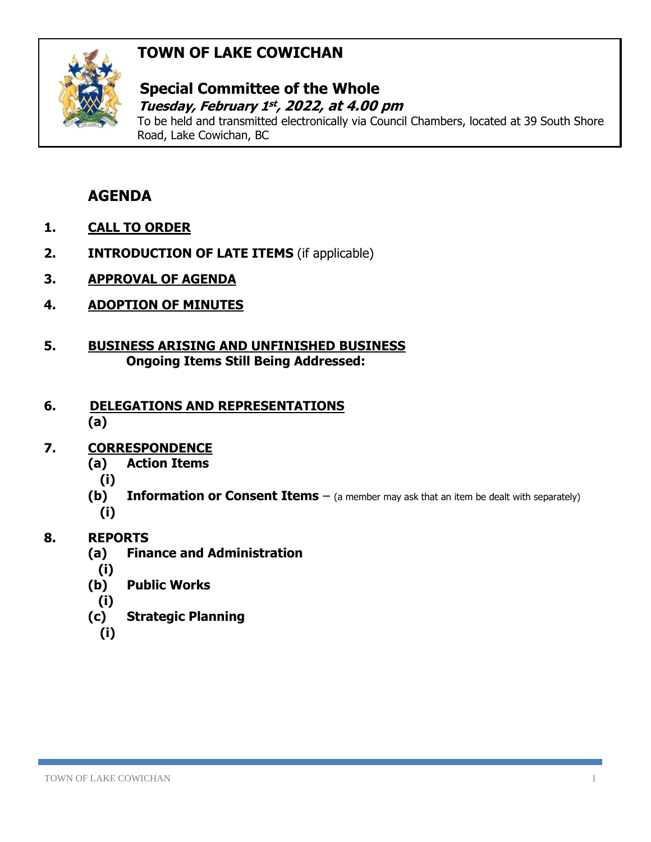# **TOWN OF LAKE COWICHAN**



## **Special Committee of the Whole** *Tuesday, February 1st, 2022, at 4.00 pm*

To be held and transmitted electronically via Council Chambers, located at 39 South Shore Road, Lake Cowichan, BC

# **AGENDA**

- **1. CALL TO ORDER**
- **2. INTRODUCTION OF LATE ITEMS** (if applicable)
- **3. APPROVAL OF AGENDA**
- **4. ADOPTION OF MINUTES**
- **5. BUSINESS ARISING AND UNFINISHED BUSINESS Ongoing Items Still Being Addressed:**

#### **6. DELEGATIONS AND REPRESENTATIONS (a)**

### **7. CORRESPONDENCE**

- **(a) Action Items**
	- **(i)**
- **(b) Information or Consent Items** (a member may ask that an item be dealt with separately) **(i)**

### **8. REPORTS**

- **(a) Finance and Administration**
	- **(i)**
- **(b) Public Works**
- **(i)**
- **(c) Strategic Planning**
	- **(i)**